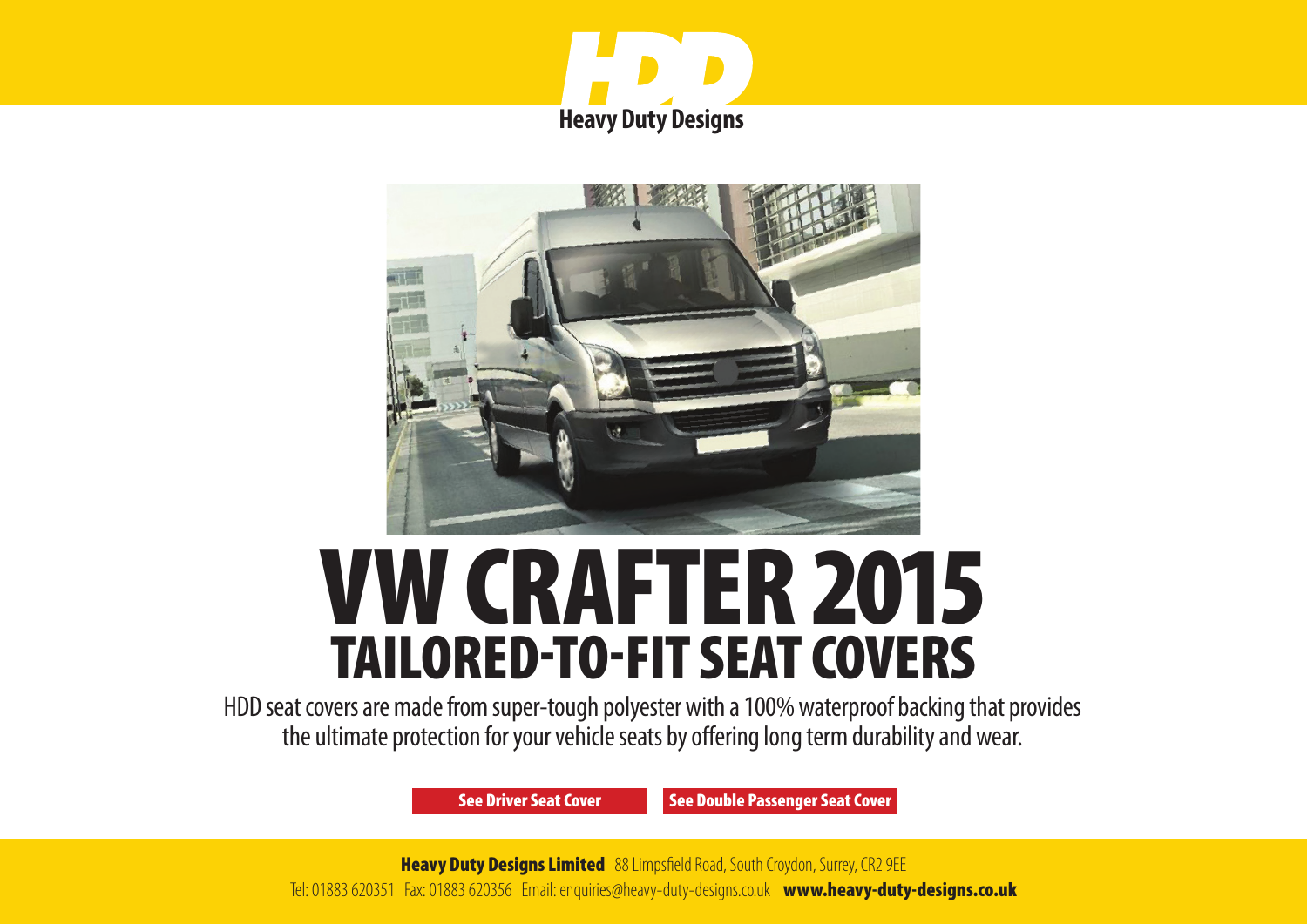



# VW CRAFTER 2015 TAILORED-TO-FIT SEAT COVERS

HDD seat covers are made from super-tough polyester with a 100% waterproof backing that provides the ultimate protection for your vehicle seats by offering long term durability and wear.

[See Driver Seat Cover](#page-1-0) [See Double Passenger Seat Cover](#page-2-0)

**Heavy Duty Designs Limited** 88 Limpsfield Road, South Croydon, Surrey, CR2 9EE Tel: 01883 620351 Fax: 01883 620356 Email: enquiries@heavy-duty-designs.co.uk [www.heavy-duty-designs.co.uk](http://www.heavy-duty-designs.co.uk)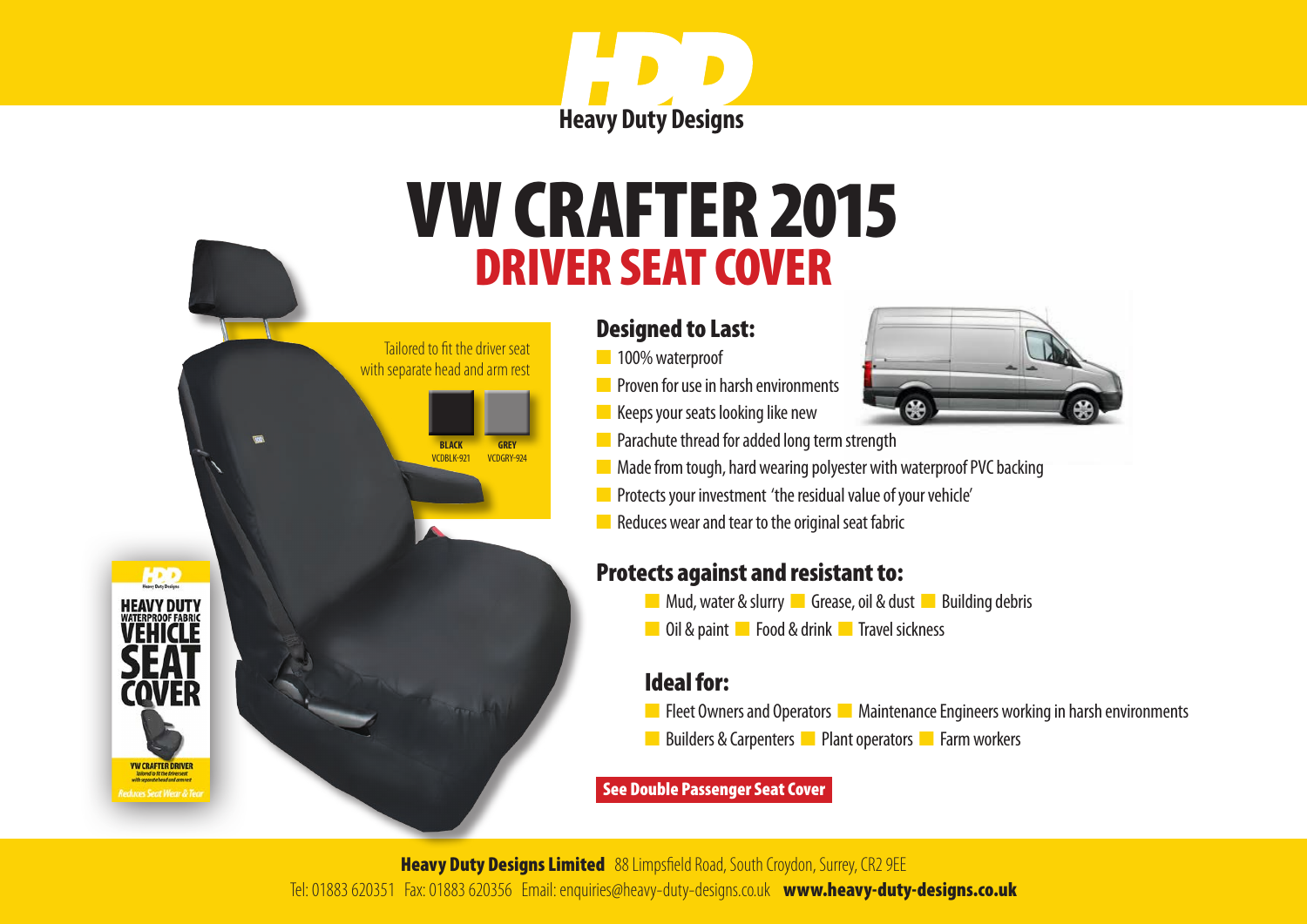

# <span id="page-1-0"></span>DRIVER SEAT COVER VW CRAFTER 2015

### Designed to Last:

n 100% waterproof

 Tailored to fit the driver seat with separate head and arm rest

> **BLACK** VCDBLK-921

**HDD** 

**ATERPROOF FABRIC** 

COVER

**VW CRAFTER DRIVER** 

**GREY** VCDGRY-924 **n** Proven for use in harsh environments



- $\blacksquare$  Keeps your seats looking like new
- **n** Parachute thread for added long term strength
- $\blacksquare$  Made from tough, hard wearing polyester with waterproof PVC backing
- **n** Protects your investment 'the residual value of your vehicle'
- $\blacksquare$  Reduces wear and tear to the original seat fabric

### Protects against and resistant to:

- **n** Mud, water & slurry **n** Grease, oil & dust **n** Building debris
- **n** Oil & paint **n** Food & drink **n** Travel sickness

## Ideal for:

- **n** Fleet Owners and Operators **n** Maintenance Engineers working in harsh environments
- n Builders & Carpenters **n** Plant operators **n** Farm workers

#### [See Double Passenger Seat Cover](#page-2-0)

**Heavy Duty Designs Limited** 88 Limpsfield Road, South Croydon, Surrey, CR2 9EE Tel: 01883 620351 Fax: 01883 620356 Email: enquiries@heavy-duty-designs.co.uk [www.heavy-duty-designs.co.uk](http://www.heavy-duty-designs.co.uk)